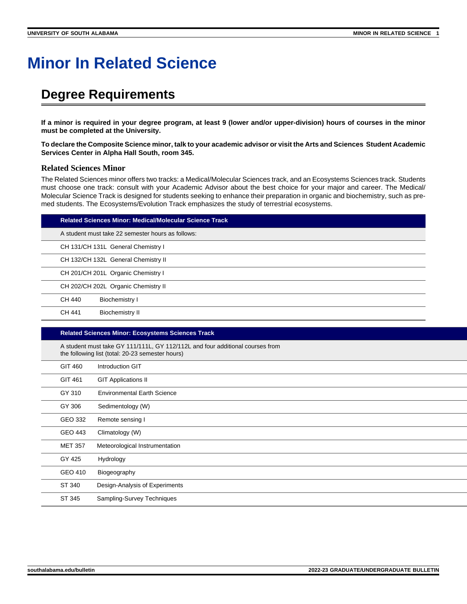# **Minor In Related Science**

### **Degree Requirements**

**If a minor is required in your degree program, at least 9 (lower and/or upper-division) hours of courses in the minor must be completed at the University.**

**To declare the Composite Science minor, talk to your academic advisor or visit the Arts and Sciences Student Academic Services Center in Alpha Hall South, room 345.**

#### **Related Sciences Minor**

The Related Sciences minor offers two tracks: a Medical/Molecular Sciences track, and an Ecosystems Sciences track. Students must choose one track: consult with your Academic Advisor about the best choice for your major and career. The Medical/ Molecular Science Track is designed for students seeking to enhance their preparation in organic and biochemistry, such as premed students. The Ecosystems/Evolution Track emphasizes the study of terrestrial ecosystems.

| Related Sciences Minor: Medical/Molecular Science Track |  |
|---------------------------------------------------------|--|
|---------------------------------------------------------|--|

A student must take 22 semester hours as follows:

CH 131/CH 131L General Chemistry I

CH 132/CH 132L General Chemistry II

CH 201/CH 201L Organic Chemistry I

CH 202/CH 202L Organic Chemistry II CH 440 Biochemistry I

CH 441 Biochemistry II

#### **Related Sciences Minor: Ecosystems Sciences Track**

A student must take GY 111/111L, GY 112/112L and four additional courses from the following list (total: 20-23 semester hours)

| the following list (total. 20 23 scribster hours) |                                    |  |
|---------------------------------------------------|------------------------------------|--|
| GIT 460                                           | Introduction GIT                   |  |
| GIT 461                                           | <b>GIT Applications II</b>         |  |
| GY 310                                            | <b>Environmental Earth Science</b> |  |
| GY 306                                            | Sedimentology (W)                  |  |
| GEO 332                                           | Remote sensing I                   |  |
| GEO 443                                           | Climatology (W)                    |  |
| <b>MET 357</b>                                    | Meteorological Instrumentation     |  |
| GY 425                                            | Hydrology                          |  |
| GEO 410                                           | Biogeography                       |  |
| ST 340                                            | Design-Analysis of Experiments     |  |
| ST 345                                            | Sampling-Survey Techniques         |  |